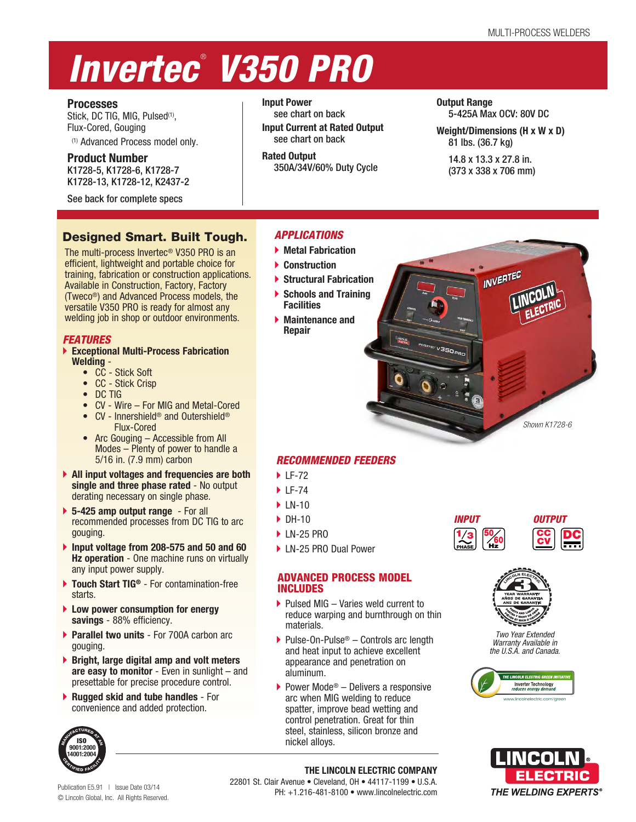# *Invertec* ®  *V350 PRO*

# **Processes**

Stick, DC TIG, MIG, Pulsed<sup>(1)</sup>, Flux-Cored, Gouging (1) Advanced Process model only.

**Product Number** K1728-5, K1728-6, K1728-7 K1728-13, K1728-12, K2437-2

See back for complete specs

# Designed Smart. Built Tough.

The multi-process Invertec® V350 PRO is an efficient, lightweight and portable choice for training, fabrication or construction applications. Available in Construction, Factory, Factory (Tweco®) and Advanced Process models, the versatile V350 PRO is ready for almost any welding job in shop or outdoor environments.

# *FEATURES*

- **Exceptional Multi-Process Fabrication Welding** -
	- CC Stick Soft
	- CC Stick Crisp
	- DC TIG
	- CV Wire For MIG and Metal-Cored
	- CV Innershield® and Outershield® Flux-Cored
	- Arc Gouging Accessible from All Modes – Plenty of power to handle a 5/16 in. (7.9 mm) carbon
- **All input voltages and frequencies are both single and three phase rated** - No output derating necessary on single phase.
- **5-425 amp output range** For all recommended processes from DC TIG to arc gouging.
- **Input voltage from 208-575 and 50 and 60 Hz operation** - One machine runs on virtually any input power supply.
- **Touch Start TIG®** For contamination-free starts.
- **Low power consumption for energy savings** - 88% efficiency.
- **Parallel two units** For 700A carbon arc gouging.
- **Bright, large digital amp and volt meters are easy to monitor** - Even in sunlight – and presettable for precise procedure control.
- **Rugged skid and tube handles** For convenience and added protection.



**Input Power** see chart on back **Input Current at Rated Output** see chart on back

**Rated Output** 350A/34V/60% Duty Cycle **Output Range** 5-425A Max OCV: 80V DC

**Weight/Dimensions (H x W x D)** 81 lbs. (36.7 kg)

**INVERTED** 

14.8 x 13.3 x 27.8 in. (373 x 338 x 706 mm)

# *APPLICATIONS*

- **Metal Fabrication**
- **Construction**
- **Structural Fabrication**
- **Schools and Training Facilities**
- **Maintenance and Repair**

# *RECOMMENDED FEEDERS*

- ▶ LF-72
- $\blacktriangleright$  LF-74
- $\blacktriangleright$  IN-10
- $\triangleright$  DH-10
- ▶ LN-25 PRO
- ▶ LN-25 PRO Dual Power

# ADVANCED PROCESS MODEL INCLUDES

- $\blacktriangleright$  Pulsed MIG Varies weld current to reduce warping and burnthrough on thin materials.
- Pulse-On-Pulse<sup>®</sup> Controls arc length and heat input to achieve excellent appearance and penetration on aluminum.
- Power Mode<sup>®</sup> Delivers a responsive arc when MIG welding to reduce spatter, improve bead wetting and control penetration. Great for thin steel, stainless, silicon bronze and nickel alloys.



*Shown K1728-6*



*Two Year Extended Warranty Available in the U.S.A. and Canada.*





Publication E5.91 | Issue Date 03/14 © Lincoln Global, Inc. All Rights Reserved.

# 22801 St. Clair Avenue • Cleveland, OH • 44117-1199 • U.S.A. PH: +1.216-481-8100 • www.lincolnelectric.com

**THE LINCOLN ELECTRIC COMPANY**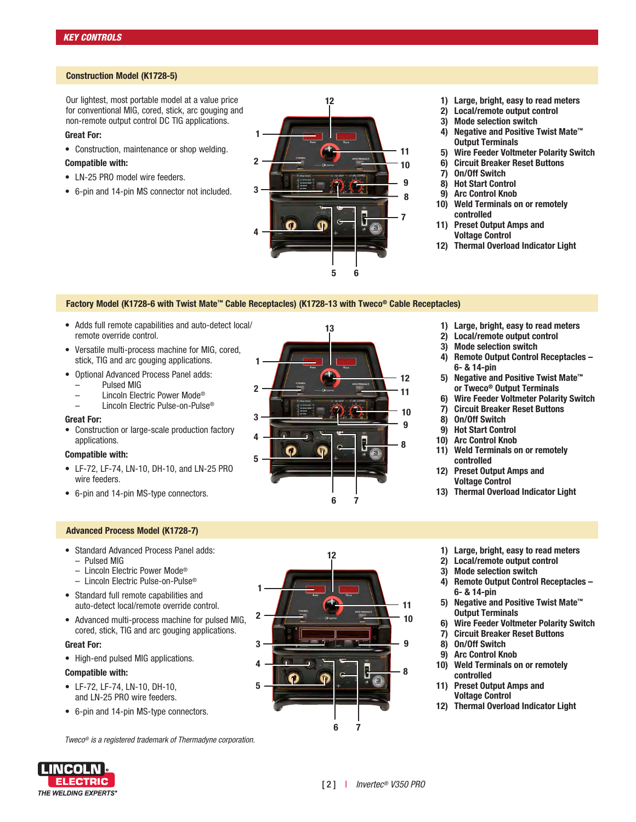#### **Construction Model (K1728-5)**

Our lightest, most portable model at a value price for conventional MIG, cored, stick, arc gouging and non-remote output control DC TIG applications.

#### **Great For:**

• Construction, maintenance or shop welding.

#### **Compatible with:**

- LN-25 PRO model wire feeders.
- 6-pin and 14-pin MS connector not included.



**13**

- **1) Large, bright, easy to read meters**
- **2) Local/remote output control**
- **3) Mode selection switch**
- **4) Negative and Positive Twist Mate™ Output Terminals**
- **5) Wire Feeder Voltmeter Polarity Switch**
- **6) Circuit Breaker Reset Buttons**
- **7) On/Off Switch**
- **8) Hot Start Control**
- **9) Arc Control Knob**
- **10) Weld Terminals on or remotely controlled**
- **11) Preset Output Amps and Voltage Control**
- **12) Thermal Overload Indicator Light**

#### **Factory Model (K1728-6 with Twist Mate™ Cable Receptacles) (K1728-13 with Tweco® Cable Receptacles)**

**1** 

**3** 

**2** 

**5** 

**4** 

- Adds full remote capabilities and auto-detect local/ remote override control.
- Versatile multi-process machine for MIG, cored, stick, TIG and arc gouging applications.
- Optional Advanced Process Panel adds:
	- Pulsed MIG
	- Lincoln Electric Power Mode®
	- Lincoln Electric Pulse-on-Pulse®

#### **Great For:**

• Construction or large-scale production factory applications.

#### **Compatible with:**

- LF-72, LF-74, LN-10, DH-10, and LN-25 PRO wire feeders.
- 6-pin and 14-pin MS-type connectors.

#### **Advanced Process Model (K1728-7)**

- Standard Advanced Process Panel adds: – Pulsed MIG
	- Lincoln Electric Power Mode®
	- Lincoln Electric Pulse-on-Pulse®
- Standard full remote capabilities and auto-detect local/remote override control.
- Advanced multi-process machine for pulsed MIG, cored, stick, TIG and arc gouging applications.

**Great For:**

• High-end pulsed MIG applications.

#### **Compatible with:**

- LF-72, LF-74, LN-10, DH-10, and LN-25 PRO wire feeders.
- 6-pin and 14-pin MS-type connectors.

*Tweco® is a registered trademark of Thermadyne corporation.*



**6 7** 

- **1) Large, bright, easy to read meters**
- **2) Local/remote output control**
- **3) Mode selection switch**
- **4) Remote Output Control Receptacles – 6- & 14-pin**
- **5) Negative and Positive Twist Mate™ or Tweco® Output Terminals**
- **6) Wire Feeder Voltmeter Polarity Switch**
- **7) Circuit Breaker Reset Buttons**
- **8) On/Off Switch**
- **9) Hot Start Control**

**8** 

**9**

**11 10**

**12**

- **10) Arc Control Knob**
- **11) Weld Terminals on or remotely controlled**
- **12) Preset Output Amps and Voltage Control**
- **13) Thermal Overload Indicator Light**
- **1) Large, bright, easy to read meters**
- **2) Local/remote output control**
- **3) Mode selection switch**
- **4) Remote Output Control Receptacles – 6- & 14-pin**
- **5) Negative and Positive Twist Mate™ Output Terminals**
- **6) Wire Feeder Voltmeter Polarity Switch**
- **7) Circuit Breaker Reset Buttons**
- **8) On/Off Switch**
- **9) Arc Control Knob**
- **10) Weld Terminals on or remotely controlled**
- **11) Preset Output Amps and Voltage Control**
- **12) Thermal Overload Indicator Light**

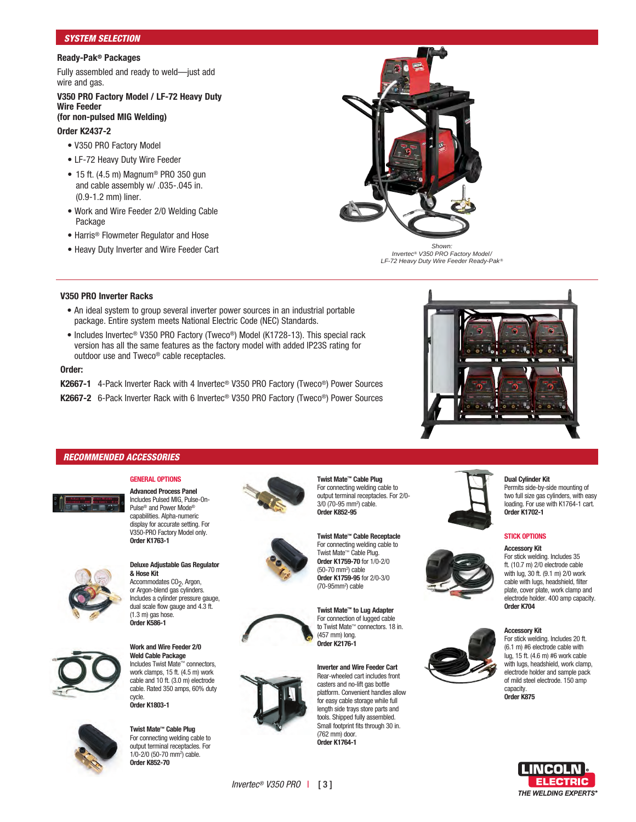#### *SYSTEM SELECTION*

#### **Ready-Pak® Packages**

Fully assembled and ready to weld—just add wire and gas.

#### **V350 PRO Factory Model / LF-72 Heavy Duty Wire Feeder**

### **(for non-pulsed MIG Welding)**

#### **Order K2437-2**

- V350 PRO Factory Model
- LF-72 Heavy Duty Wire Feeder
- 15 ft. (4.5 m) Magnum® PRO 350 gun and cable assembly w/ .035-.045 in. (0.9-1.2 mm) liner.
- Work and Wire Feeder 2/0 Welding Cable Package
- Harris® Flowmeter Regulator and Hose
- Heavy Duty Inverter and Wire Feeder Cart *Shown:*



*Invertec® V350 PRO Factory Model/ LF-72 Heavy Duty Wire Feeder Ready-Pak ®*

#### **V350 PRO Inverter Racks**

- An ideal system to group several inverter power sources in an industrial portable package. Entire system meets National Electric Code (NEC) Standards.
- Includes Invertec® V350 PRO Factory (Tweco®) Model (K1728-13). This special rack version has all the same features as the factory model with added IP23S rating for outdoor use and Tweco® cable receptacles.

#### **Order:**

- **K2667-1** 4-Pack Inverter Rack with 4 Invertec® V350 PRO Factory (Tweco®) Power Sources
- **K2667-2** 6-Pack Inverter Rack with 6 Invertec® V350 PRO Factory (Tweco®) Power Sources

### *RECOMMENDED ACCESSORIES*



**Advanced Process Panel** Includes Pulsed MIG, Pulse-On-Pulse® and Power Mode® capabilities. Alpha-numeric display for accurate setting. For V350-PRO Factory Model only. **Order K1763-1**

**GENERAL OPTIONS**



#### **Deluxe Adjustable Gas Regulator & Hose Kit**  Accommodates CO<sub>2</sub>, Argon, or Argon-blend gas cylinders. Includes a cylinder pressure gauge, dual scale flow gauge and 4.3 ft.

**Work and Wire Feeder 2/0 Weld Cable Package** Includes Twist Mate™ connectors, work clamps, 15 ft. (4.5 m) work

cable and 10 ft. (3.0 m) electrode cable. Rated 350 amps, 60% duty cycle. **Order K1803-1 Twist Mate™ Cable Plug** 

 $(1.3 \text{ m})$  gas hose. **Order K586-1** 



For connecting welding cable to output terminal receptacles. For 1/0-2/0 (50-70 mm2 ) cable. **Order K852-70**







**Twist Mate™ Cable Plug**  For connecting welding cable to

Twist Mate™ Cable Plug. **Order K1759-70** for 1/0-2/0 (50-70 mm2) cable **Order K1759-95** for 2/0-3/0 (70-95mm2) cable



**Inverter and Wire Feeder Cart**  Rear-wheeled cart includes front casters and no-lift gas bottle platform. Convenient handles allow for easy cable storage while full length side trays store parts and tools. Shipped fully assembled. Small footprint fits through 30 in. (762 mm) door. **Order K1764-1** 









### **Dual Cylinder Kit**

Permits side-by-side mounting of two full size gas cylinders, with easy loading. For use with K1764-1 cart. **Order K1702-1** 

#### **STICK OPTIONS**

#### **Accessory Kit**

For stick welding. Includes 35 ft. (10.7 m) 2/0 electrode cable with lug, 30 ft. (9.1 m) 2/0 work cable with lugs, headshield, filter plate, cover plate, work clamp and electrode holder. 400 amp capacity. **Order K704** 

#### **Accessory Kit**

For stick welding. Includes 20 ft. (6.1 m) #6 electrode cable with lug, 15 ft. (4.6 m) #6 work cable with lugs, headshield, work clamp, electrode holder and sample pack of mild steel electrode. 150 amp capacity. **Order K875**